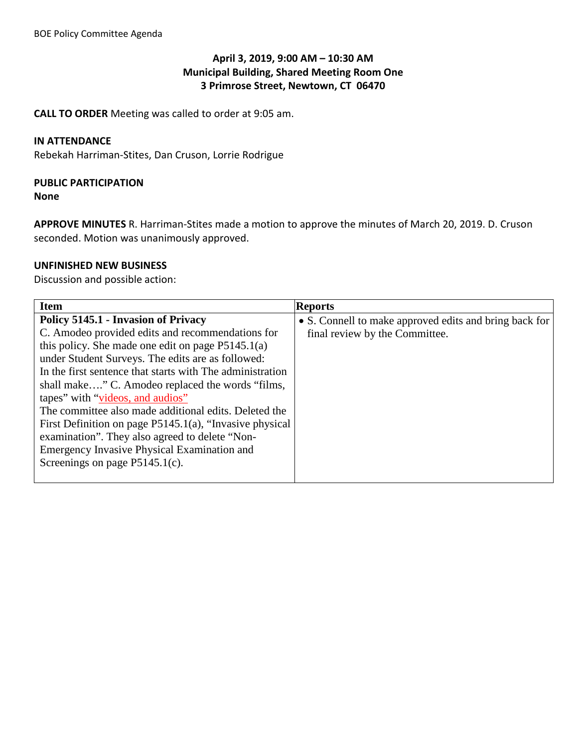## **April 3, 2019, 9:00 AM – 10:30 AM Municipal Building, Shared Meeting Room One 3 Primrose Street, Newtown, CT 06470**

**CALL TO ORDER** Meeting was called to order at 9:05 am.

### **IN ATTENDANCE**

Rebekah Harriman-Stites, Dan Cruson, Lorrie Rodrigue

## **PUBLIC PARTICIPATION**

**None**

**APPROVE MINUTES** R. Harriman-Stites made a motion to approve the minutes of March 20, 2019. D. Cruson seconded. Motion was unanimously approved.

### **UNFINISHED NEW BUSINESS**

Discussion and possible action:

| <b>Item</b>                                                                                                                                                                                                                                                                                                                                                                                                                                                                                                                                                                                                        | <b>Reports</b>                                                                           |
|--------------------------------------------------------------------------------------------------------------------------------------------------------------------------------------------------------------------------------------------------------------------------------------------------------------------------------------------------------------------------------------------------------------------------------------------------------------------------------------------------------------------------------------------------------------------------------------------------------------------|------------------------------------------------------------------------------------------|
| Policy 5145.1 - Invasion of Privacy<br>C. Amodeo provided edits and recommendations for<br>this policy. She made one edit on page $P5145.1(a)$<br>under Student Surveys. The edits are as followed:<br>In the first sentence that starts with The administration<br>shall make" C. Amodeo replaced the words "films,<br>tapes" with "videos, and audios"<br>The committee also made additional edits. Deleted the<br>First Definition on page P5145.1(a), "Invasive physical<br>examination". They also agreed to delete "Non-<br>Emergency Invasive Physical Examination and<br>Screenings on page $P5145.1(c)$ . | • S. Connell to make approved edits and bring back for<br>final review by the Committee. |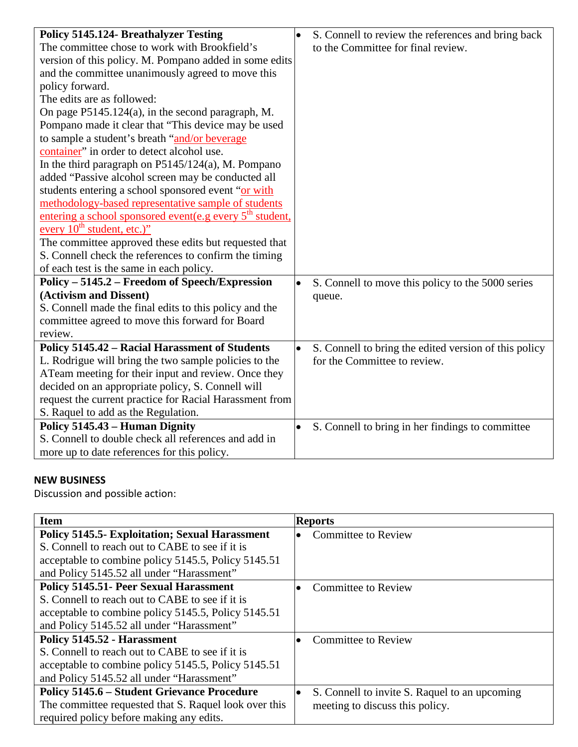| <b>Policy 5145.124- Breathalyzer Testing</b>                         | S. Connell to review the references and bring back<br>$\bullet$    |
|----------------------------------------------------------------------|--------------------------------------------------------------------|
| The committee chose to work with Brookfield's                        | to the Committee for final review.                                 |
| version of this policy. M. Pompano added in some edits               |                                                                    |
| and the committee unanimously agreed to move this                    |                                                                    |
| policy forward.                                                      |                                                                    |
| The edits are as followed:                                           |                                                                    |
| On page P5145.124(a), in the second paragraph, M.                    |                                                                    |
| Pompano made it clear that "This device may be used                  |                                                                    |
| to sample a student's breath "and/or beverage                        |                                                                    |
| container" in order to detect alcohol use.                           |                                                                    |
| In the third paragraph on $P5145/124(a)$ , M. Pompano                |                                                                    |
| added "Passive alcohol screen may be conducted all                   |                                                                    |
| students entering a school sponsored event "or with                  |                                                                    |
| methodology-based representative sample of students                  |                                                                    |
| entering a school sponsored event(e.g every 5 <sup>th</sup> student, |                                                                    |
| every 10 <sup>th</sup> student, etc.)"                               |                                                                    |
| The committee approved these edits but requested that                |                                                                    |
| S. Connell check the references to confirm the timing                |                                                                    |
| of each test is the same in each policy.                             |                                                                    |
| Policy – 5145.2 – Freedom of Speech/Expression                       | S. Connell to move this policy to the 5000 series<br>$\bullet$     |
| (Activism and Dissent)                                               | queue.                                                             |
| S. Connell made the final edits to this policy and the               |                                                                    |
| committee agreed to move this forward for Board                      |                                                                    |
| review.                                                              |                                                                    |
| Policy 5145.42 - Racial Harassment of Students                       | S. Connell to bring the edited version of this policy<br>$\bullet$ |
| L. Rodrigue will bring the two sample policies to the                | for the Committee to review.                                       |
| ATeam meeting for their input and review. Once they                  |                                                                    |
| decided on an appropriate policy, S. Connell will                    |                                                                    |
| request the current practice for Racial Harassment from              |                                                                    |
| S. Raquel to add as the Regulation.                                  |                                                                    |
| Policy 5145.43 – Human Dignity                                       | S. Connell to bring in her findings to committee<br>$\bullet$      |
| S. Connell to double check all references and add in                 |                                                                    |
| more up to date references for this policy.                          |                                                                    |

# **NEW BUSINESS**

Discussion and possible action:

| <b>Item</b>                                           | <b>Reports</b>                                |
|-------------------------------------------------------|-----------------------------------------------|
| <b>Policy 5145.5- Exploitation; Sexual Harassment</b> | <b>Committee to Review</b>                    |
| S. Connell to reach out to CABE to see if it is       |                                               |
| acceptable to combine policy 5145.5, Policy 5145.51   |                                               |
| and Policy 5145.52 all under "Harassment"             |                                               |
| <b>Policy 5145.51- Peer Sexual Harassment</b>         | <b>Committee to Review</b>                    |
| S. Connell to reach out to CABE to see if it is       |                                               |
| acceptable to combine policy 5145.5, Policy 5145.51   |                                               |
| and Policy 5145.52 all under "Harassment"             |                                               |
| Policy 5145.52 - Harassment                           | <b>Committee to Review</b>                    |
| S. Connell to reach out to CABE to see if it is       |                                               |
| acceptable to combine policy 5145.5, Policy 5145.51   |                                               |
| and Policy 5145.52 all under "Harassment"             |                                               |
| <b>Policy 5145.6 – Student Grievance Procedure</b>    | S. Connell to invite S. Raquel to an upcoming |
| The committee requested that S. Raquel look over this | meeting to discuss this policy.               |
| required policy before making any edits.              |                                               |